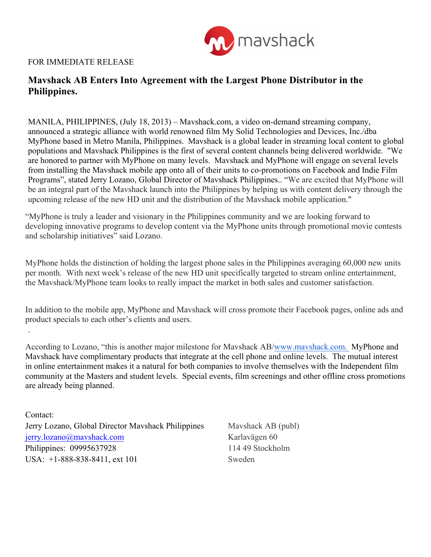

## FOR IMMEDIATE RELEASE

.

## **Mavshack AB Enters Into Agreement with the Largest Phone Distributor in the Philippines.**

MANILA, PHILIPPINES, (July 18, 2013) – Mavshack.com, a video on-demand streaming company, announced a strategic alliance with world renowned film My Solid Technologies and Devices, Inc./dba MyPhone based in Metro Manila, Philippines. Mavshack is a global leader in streaming local content to global populations and Mavshack Philippines is the first of several content channels being delivered worldwide. "We are honored to partner with MyPhone on many levels. Mavshack and MyPhone will engage on several levels from installing the Mavshack mobile app onto all of their units to co-promotions on Facebook and Indie Film Programs", stated Jerry Lozano, Global Director of Mavshack Philippines.. "We are excited that MyPhone will be an integral part of the Mavshack launch into the Philippines by helping us with content delivery through the upcoming release of the new HD unit and the distribution of the Mavshack mobile application."

"MyPhone is truly a leader and visionary in the Philippines community and we are looking forward to developing innovative programs to develop content via the MyPhone units through promotional movie contests and scholarship initiatives" said Lozano.

MyPhone holds the distinction of holding the largest phone sales in the Philippines averaging 60,000 new units per month. With next week's release of the new HD unit specifically targeted to stream online entertainment, the Mavshack/MyPhone team looks to really impact the market in both sales and customer satisfaction.

In addition to the mobile app, MyPhone and Mavshack will cross promote their Facebook pages, online ads and product specials to each other's clients and users.

According to Lozano, "this is another major milestone for Mavshack AB/www.mavshack.com. MyPhone and Mavshack have complimentary products that integrate at the cell phone and online levels. The mutual interest in online entertainment makes it a natural for both companies to involve themselves with the Independent film community at the Masters and student levels. Special events, film screenings and other offline cross promotions are already being planned.

Contact: Jerry Lozano, Global Director Mavshack Philippines Mavshack AB (publ) jerry.lozano@mavshack.com Karlavägen 60 Philippines: 09995637928 114 49 Stockholm USA:  $+1-888-838-8411$ , ext 101 Sweden